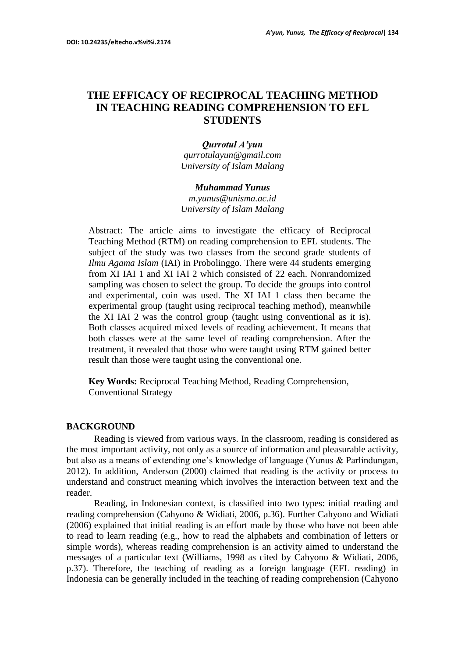# **THE EFFICACY OF RECIPROCAL TEACHING METHOD IN TEACHING READING COMPREHENSION TO EFL STUDENTS**

*Qurrotul A'yun [qurrotulayun@gmail.com](mailto:qurrotulayun@gmail.com) University of Islam Malang*

#### *Muhammad Yunus*

*m.yunus@unisma.ac.id University of Islam Malang*

Abstract: The article aims to investigate the efficacy of Reciprocal Teaching Method (RTM) on reading comprehension to EFL students. The subject of the study was two classes from the second grade students of *Ilmu Agama Islam* (IAI) in Probolinggo. There were 44 students emerging from XI IAI 1 and XI IAI 2 which consisted of 22 each. Nonrandomized sampling was chosen to select the group. To decide the groups into control and experimental, coin was used. The XI IAI 1 class then became the experimental group (taught using reciprocal teaching method), meanwhile the XI IAI 2 was the control group (taught using conventional as it is). Both classes acquired mixed levels of reading achievement. It means that both classes were at the same level of reading comprehension. After the treatment, it revealed that those who were taught using RTM gained better result than those were taught using the conventional one.

**Key Words:** Reciprocal Teaching Method, Reading Comprehension, Conventional Strategy

### **BACKGROUND**

Reading is viewed from various ways. In the classroom, reading is considered as the most important activity, not only as a source of information and pleasurable activity, but also as a means of extending one's knowledge of language (Yunus & Parlindungan, 2012). In addition, Anderson (2000) claimed that reading is the activity or process to understand and construct meaning which involves the interaction between text and the reader.

Reading, in Indonesian context, is classified into two types: initial reading and reading comprehension (Cahyono & Widiati, 2006, p.36). Further Cahyono and Widiati (2006) explained that initial reading is an effort made by those who have not been able to read to learn reading (e.g., how to read the alphabets and combination of letters or simple words), whereas reading comprehension is an activity aimed to understand the messages of a particular text (Williams, 1998 as cited by Cahyono & Widiati, 2006, p.37). Therefore, the teaching of reading as a foreign language (EFL reading) in Indonesia can be generally included in the teaching of reading comprehension (Cahyono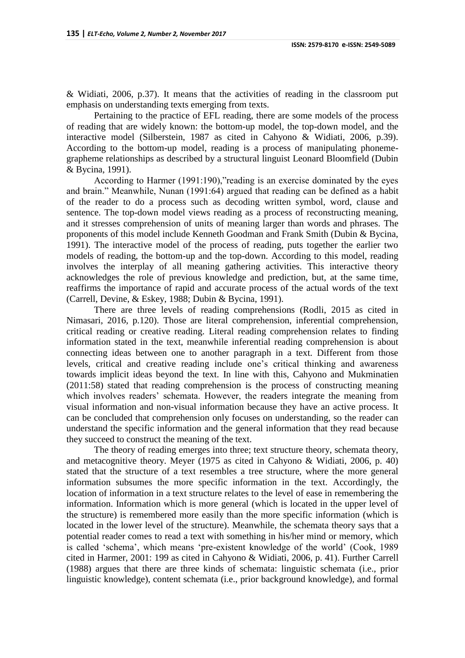& Widiati, 2006, p.37). It means that the activities of reading in the classroom put emphasis on understanding texts emerging from texts.

Pertaining to the practice of EFL reading, there are some models of the process of reading that are widely known: the bottom-up model, the top-down model, and the interactive model (Silberstein, 1987 as cited in Cahyono & Widiati, 2006, p.39). According to the bottom-up model, reading is a process of manipulating phonemegrapheme relationships as described by a structural linguist Leonard Bloomfield (Dubin & Bycina, 1991).

According to Harmer (1991:190),"reading is an exercise dominated by the eyes and brain." Meanwhile, Nunan (1991:64) argued that reading can be defined as a habit of the reader to do a process such as decoding written symbol, word, clause and sentence. The top-down model views reading as a process of reconstructing meaning, and it stresses comprehension of units of meaning larger than words and phrases. The proponents of this model include Kenneth Goodman and Frank Smith (Dubin & Bycina, 1991). The interactive model of the process of reading, puts together the earlier two models of reading, the bottom-up and the top-down. According to this model, reading involves the interplay of all meaning gathering activities. This interactive theory acknowledges the role of previous knowledge and prediction, but, at the same time, reaffirms the importance of rapid and accurate process of the actual words of the text (Carrell, Devine, & Eskey, 1988; Dubin & Bycina, 1991).

There are three levels of reading comprehensions (Rodli, 2015 as cited in Nimasari, 2016, p.120). Those are literal comprehension, inferential comprehension, critical reading or creative reading. Literal reading comprehension relates to finding information stated in the text, meanwhile inferential reading comprehension is about connecting ideas between one to another paragraph in a text. Different from those levels, critical and creative reading include one's critical thinking and awareness towards implicit ideas beyond the text. In line with this, Cahyono and Mukminatien (2011:58) stated that reading comprehension is the process of constructing meaning which involves readers' schemata. However, the readers integrate the meaning from visual information and non-visual information because they have an active process. It can be concluded that comprehension only focuses on understanding, so the reader can understand the specific information and the general information that they read because they succeed to construct the meaning of the text.

The theory of reading emerges into three; text structure theory, schemata theory, and metacognitive theory. Meyer (1975 as cited in Cahyono & Widiati, 2006, p. 40) stated that the structure of a text resembles a tree structure, where the more general information subsumes the more specific information in the text. Accordingly, the location of information in a text structure relates to the level of ease in remembering the information. Information which is more general (which is located in the upper level of the structure) is remembered more easily than the more specific information (which is located in the lower level of the structure). Meanwhile, the schemata theory says that a potential reader comes to read a text with something in his/her mind or memory, which is called 'schema', which means 'pre-existent knowledge of the world' (Cook, 1989 cited in Harmer, 2001: 199 as cited in Cahyono & Widiati, 2006, p. 41). Further Carrell (1988) argues that there are three kinds of schemata: linguistic schemata (i.e., prior linguistic knowledge), content schemata (i.e., prior background knowledge), and formal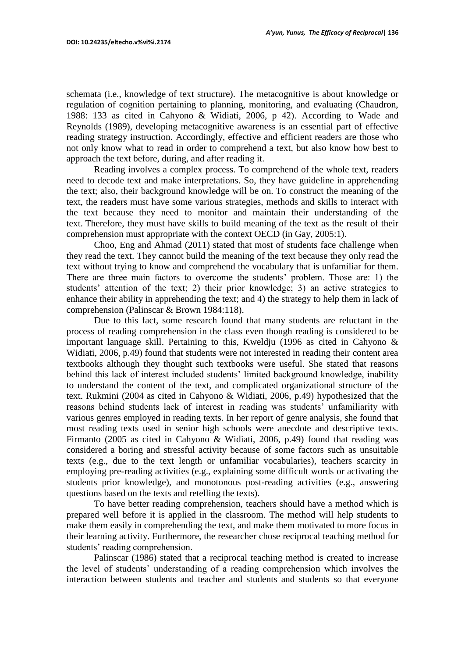schemata (i.e., knowledge of text structure). The metacognitive is about knowledge or regulation of cognition pertaining to planning, monitoring, and evaluating (Chaudron, 1988: 133 as cited in Cahyono & Widiati, 2006, p 42). According to Wade and Reynolds (1989), developing metacognitive awareness is an essential part of effective reading strategy instruction. Accordingly, effective and efficient readers are those who not only know what to read in order to comprehend a text, but also know how best to approach the text before, during, and after reading it.

Reading involves a complex process. To comprehend of the whole text, readers need to decode text and make interpretations. So, they have guideline in apprehending the text; also, their background knowledge will be on. To construct the meaning of the text, the readers must have some various strategies, methods and skills to interact with the text because they need to monitor and maintain their understanding of the text. Therefore, they must have skills to build meaning of the text as the result of their comprehension must appropriate with the context OECD (in Gay, 2005:1).

Choo, Eng and Ahmad (2011) stated that most of students face challenge when they read the text. They cannot build the meaning of the text because they only read the text without trying to know and comprehend the vocabulary that is unfamiliar for them. There are three main factors to overcome the students' problem. Those are: 1) the students' attention of the text; 2) their prior knowledge; 3) an active strategies to enhance their ability in apprehending the text; and 4) the strategy to help them in lack of comprehension (Palinscar & Brown 1984:118).

Due to this fact, some research found that many students are reluctant in the process of reading comprehension in the class even though reading is considered to be important language skill. Pertaining to this, Kweldju (1996 as cited in Cahyono & Widiati, 2006, p.49) found that students were not interested in reading their content area textbooks although they thought such textbooks were useful. She stated that reasons behind this lack of interest included students' limited background knowledge, inability to understand the content of the text, and complicated organizational structure of the text. Rukmini (2004 as cited in Cahyono & Widiati, 2006, p.49) hypothesized that the reasons behind students lack of interest in reading was students' unfamiliarity with various genres employed in reading texts. In her report of genre analysis, she found that most reading texts used in senior high schools were anecdote and descriptive texts. Firmanto (2005 as cited in Cahyono & Widiati, 2006, p.49) found that reading was considered a boring and stressful activity because of some factors such as unsuitable texts (e.g., due to the text length or unfamiliar vocabularies), teachers scarcity in employing pre-reading activities (e.g., explaining some difficult words or activating the students prior knowledge), and monotonous post-reading activities (e.g., answering questions based on the texts and retelling the texts).

To have better reading comprehension, teachers should have a method which is prepared well before it is applied in the classroom. The method will help students to make them easily in comprehending the text, and make them motivated to more focus in their learning activity. Furthermore, the researcher chose reciprocal teaching method for students' reading comprehension.

Palinscar (1986) stated that a reciprocal teaching method is created to increase the level of students' understanding of a reading comprehension which involves the interaction between students and teacher and students and students so that everyone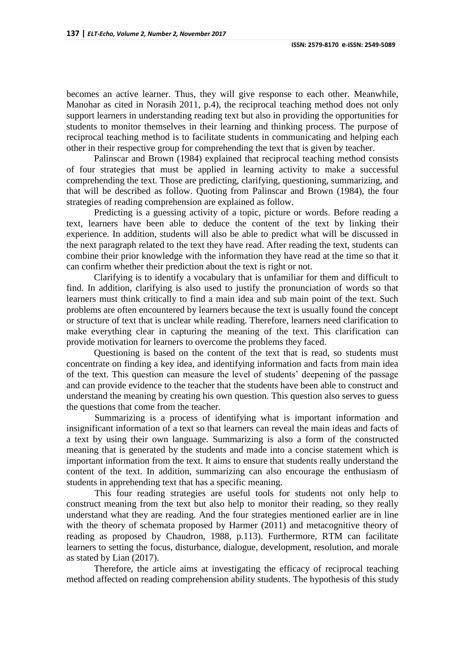becomes an active learner. Thus, they will give response to each other. Meanwhile, Manohar as cited in Norasih 2011, p.4), the reciprocal teaching method does not only support learners in understanding reading text but also in providing the opportunities for students to monitor themselves in their learning and thinking process. The purpose of reciprocal teaching method is to facilitate students in communicating and helping each other in their respective group for comprehending the text that is given by teacher.

Palinscar and Brown (1984) explained that reciprocal teaching method consists of four strategies that must be applied in learning activity to make a successful comprehending the text. Those are predicting, clarifying, questioning, summarizing, and that will be described as follow. Quoting from Palinscar and Brown (1984), the four strategies of reading comprehension are explained as follow.

Predicting is a guessing activity of a topic, picture or words. Before reading a text, learners have been able to deduce the content of the text by linking their experience. In addition, students will also be able to predict what will be discussed in the next paragraph related to the text they have read. After reading the text, students can combine their prior knowledge with the information they have read at the time so that it can confirm whether their prediction about the text is right or not.

Clarifying is to identify a vocabulary that is unfamiliar for them and difficult to find. In addition, clarifying is also used to justify the pronunciation of words so that learners must think critically to find a main idea and sub main point of the text. Such problems are often encountered by learners because the text is usually found the concept or structure of text that is unclear while reading. Therefore, learners need clarification to make everything clear in capturing the meaning of the text. This clarification can provide motivation for learners to overcome the problems they faced.

Questioning is based on the content of the text that is read, so students must concentrate on finding a key idea, and identifying information and facts from main idea of the text. This question can measure the level of students' deepening of the passage and can provide evidence to the teacher that the students have been able to construct and understand the meaning by creating his own question. This question also serves to guess the questions that come from the teacher.

Summarizing is a process of identifying what is important information and insignificant information of a text so that learners can reveal the main ideas and facts of a text by using their own language. Summarizing is also a form of the constructed meaning that is generated by the students and made into a concise statement which is important information from the text. It aims to ensure that students really understand the content of the text. In addition, summarizing can also encourage the enthusiasm of students in apprehending text that has a specific meaning.

This four reading strategies are useful tools for students not only help to construct meaning from the text but also help to monitor their reading, so they really understand what they are reading. And the four strategies mentioned earlier are in line with the theory of schemata proposed by Harmer (2011) and metacognitive theory of reading as proposed by Chaudron, 1988, p.113). Furthermore, RTM can facilitate learners to setting the focus, disturbance, dialogue, development, resolution, and morale as stated by Lian (2017).

Therefore, the article aims at investigating the efficacy of reciprocal teaching method affected on reading comprehension ability students. The hypothesis of this study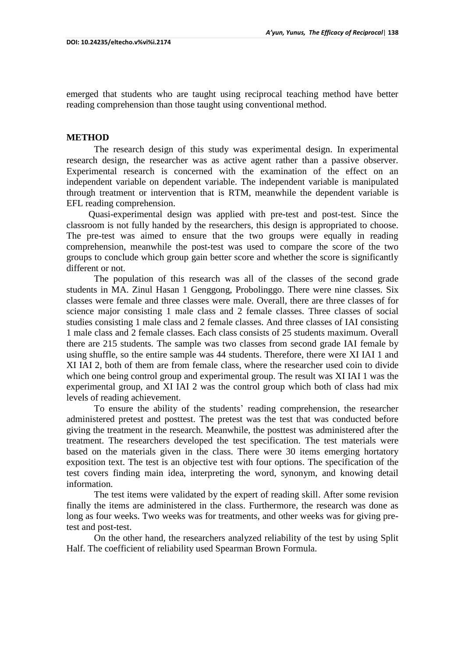emerged that students who are taught using reciprocal teaching method have better reading comprehension than those taught using conventional method.

### **METHOD**

The research design of this study was experimental design. In experimental research design, the researcher was as active agent rather than a passive observer. Experimental research is concerned with the examination of the effect on an independent variable on dependent variable. The independent variable is manipulated through treatment or intervention that is RTM, meanwhile the dependent variable is EFL reading comprehension.

Quasi-experimental design was applied with pre-test and post-test. Since the classroom is not fully handed by the researchers, this design is appropriated to choose. The pre-test was aimed to ensure that the two groups were equally in reading comprehension, meanwhile the post-test was used to compare the score of the two groups to conclude which group gain better score and whether the score is significantly different or not.

The population of this research was all of the classes of the second grade students in MA. Zinul Hasan 1 Genggong, Probolinggo. There were nine classes. Six classes were female and three classes were male. Overall, there are three classes of for science major consisting 1 male class and 2 female classes. Three classes of social studies consisting 1 male class and 2 female classes. And three classes of IAI consisting 1 male class and 2 female classes. Each class consists of 25 students maximum. Overall there are 215 students. The sample was two classes from second grade IAI female by using shuffle, so the entire sample was 44 students. Therefore, there were XI IAI 1 and XI IAI 2, both of them are from female class, where the researcher used coin to divide which one being control group and experimental group. The result was XI IAI 1 was the experimental group, and XI IAI 2 was the control group which both of class had mix levels of reading achievement.

To ensure the ability of the students' reading comprehension, the researcher administered pretest and posttest. The pretest was the test that was conducted before giving the treatment in the research. Meanwhile, the posttest was administered after the treatment. The researchers developed the test specification. The test materials were based on the materials given in the class. There were 30 items emerging hortatory exposition text. The test is an objective test with four options. The specification of the test covers finding main idea, interpreting the word, synonym, and knowing detail information.

The test items were validated by the expert of reading skill. After some revision finally the items are administered in the class. Furthermore, the research was done as long as four weeks. Two weeks was for treatments, and other weeks was for giving pretest and post-test.

On the other hand, the researchers analyzed reliability of the test by using Split Half. The coefficient of reliability used Spearman Brown Formula.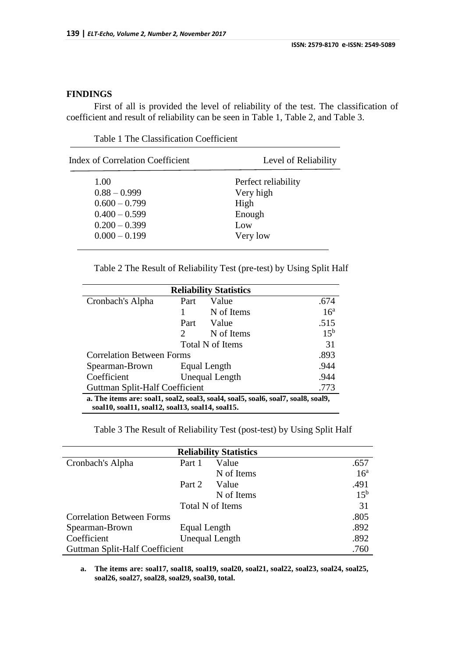# **FINDINGS**

First of all is provided the level of reliability of the test. The classification of coefficient and result of reliability can be seen in Table 1, Table 2, and Table 3.

| <b>Index of Correlation Coefficient</b> | Level of Reliability |  |  |  |  |  |
|-----------------------------------------|----------------------|--|--|--|--|--|
| 1.00                                    | Perfect reliability  |  |  |  |  |  |
| $0.88 - 0.999$                          | Very high            |  |  |  |  |  |
| $0.600 - 0.799$                         | High                 |  |  |  |  |  |
| $0.400 - 0.599$                         | Enough               |  |  |  |  |  |
| $0.200 - 0.399$                         | Low                  |  |  |  |  |  |
| $0.000 - 0.199$                         | Very low             |  |  |  |  |  |
|                                         |                      |  |  |  |  |  |

Table 1 The Classification Coefficient

Table 2 The Result of Reliability Test (pre-test) by Using Split Half

| <b>Reliability Statistics</b>                                                                                                       |                       |                       |                 |  |  |  |
|-------------------------------------------------------------------------------------------------------------------------------------|-----------------------|-----------------------|-----------------|--|--|--|
| Cronbach's Alpha                                                                                                                    | Part                  | Value                 | .674            |  |  |  |
|                                                                                                                                     |                       | N of Items            | 16 <sup>a</sup> |  |  |  |
|                                                                                                                                     | Part                  | Value                 | .515            |  |  |  |
|                                                                                                                                     | $\mathcal{D}_{\cdot}$ | N of Items            | 15 <sup>b</sup> |  |  |  |
|                                                                                                                                     |                       | Total N of Items      | 31              |  |  |  |
| <b>Correlation Between Forms</b>                                                                                                    |                       |                       | .893            |  |  |  |
| Spearman-Brown                                                                                                                      |                       | Equal Length          | .944            |  |  |  |
| Coefficient                                                                                                                         |                       | <b>Unequal Length</b> | .944            |  |  |  |
| Guttman Split-Half Coefficient                                                                                                      |                       |                       |                 |  |  |  |
| a. The items are: soal1, soal2, soal3, soal4, soal5, soal6, soal7, soal8, soal9,<br>soal10, soal11, soal12, soal13, soal14, soal15. |                       |                       |                 |  |  |  |

# Table 3 The Result of Reliability Test (post-test) by Using Split Half

| <b>Reliability Statistics</b>    |                       |                  |                 |  |  |
|----------------------------------|-----------------------|------------------|-----------------|--|--|
| Cronbach's Alpha                 | Part 1                | Value            | .657            |  |  |
|                                  |                       | N of Items       | 16 <sup>a</sup> |  |  |
|                                  | Part 2                | Value            | .491            |  |  |
|                                  |                       | N of Items       | 15 <sup>b</sup> |  |  |
|                                  |                       | Total N of Items | 31              |  |  |
| <b>Correlation Between Forms</b> |                       |                  | .805            |  |  |
| Spearman-Brown                   | Equal Length          |                  | .892            |  |  |
| Coefficient                      | <b>Unequal Length</b> |                  |                 |  |  |
| Guttman Split-Half Coefficient   |                       |                  |                 |  |  |

**a. The items are: soal17, soal18, soal19, soal20, soal21, soal22, soal23, soal24, soal25, soal26, soal27, soal28, soal29, soal30, total.**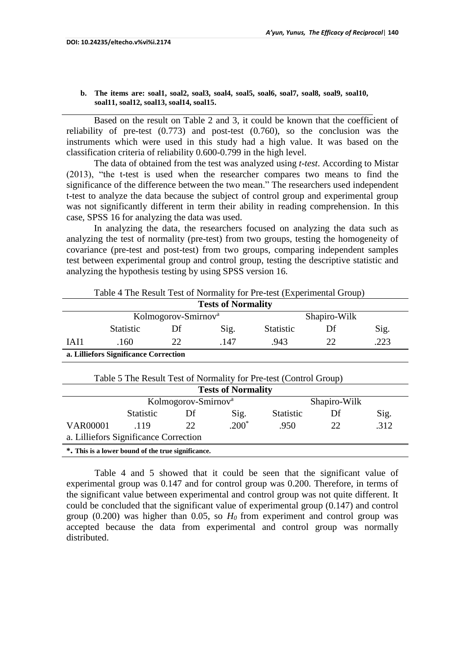**b. The items are: soal1, soal2, soal3, soal4, soal5, soal6, soal7, soal8, soal9, soal10, soal11, soal12, soal13, soal14, soal15.**

Based on the result on Table 2 and 3, it could be known that the coefficient of reliability of pre-test (0.773) and post-test (0.760), so the conclusion was the instruments which were used in this study had a high value. It was based on the classification criteria of reliability 0.600-0.799 in the high level.

The data of obtained from the test was analyzed using *t-test*. According to Mistar (2013), "the t-test is used when the researcher compares two means to find the significance of the difference between the two mean." The researchers used independent t-test to analyze the data because the subject of control group and experimental group was not significantly different in term their ability in reading comprehension. In this case, SPSS 16 for analyzing the data was used.

In analyzing the data, the researchers focused on analyzing the data such as analyzing the test of normality (pre-test) from two groups, testing the homogeneity of covariance (pre-test and post-test) from two groups, comparing independent samples test between experimental group and control group, testing the descriptive statistic and analyzing the hypothesis testing by using SPSS version 16.

| Table 4 The Result Test of Normality for Pre-test (Experimental Group) |                  |                                 |      |                  |    |      |  |  |
|------------------------------------------------------------------------|------------------|---------------------------------|------|------------------|----|------|--|--|
| <b>Tests of Normality</b>                                              |                  |                                 |      |                  |    |      |  |  |
|                                                                        |                  | Kolmogorov-Smirnov <sup>a</sup> |      | Shapiro-Wilk     |    |      |  |  |
|                                                                        | <b>Statistic</b> | Df                              | Sig. | <b>Statistic</b> | Df | Sig. |  |  |
| IAI1                                                                   | .160             | 22                              | .147 | .943             | 22 | .223 |  |  |
| a. Lilliefors Significance Correction                                  |                  |                                 |      |                  |    |      |  |  |

|  | Table 5 The Result Test of Normality for Pre-test (Control Group) |
|--|-------------------------------------------------------------------|
|  |                                                                   |

| <b>Tests of Normality</b>                          |           |                                 |         |                  |    |      |  |  |
|----------------------------------------------------|-----------|---------------------------------|---------|------------------|----|------|--|--|
|                                                    |           | Kolmogorov-Smirnov <sup>a</sup> |         | Shapiro-Wilk     |    |      |  |  |
|                                                    | Statistic | Df                              | Sig.    | <b>Statistic</b> | Df | Sig. |  |  |
| <b>VAR00001</b>                                    | 119       | 22                              | $.200*$ | .950             | 22 | .312 |  |  |
| a. Lilliefors Significance Correction              |           |                                 |         |                  |    |      |  |  |
| *. This is a lower bound of the true significance. |           |                                 |         |                  |    |      |  |  |

Table 4 and 5 showed that it could be seen that the significant value of experimental group was 0.147 and for control group was 0.200. Therefore, in terms of the significant value between experimental and control group was not quite different. It could be concluded that the significant value of experimental group (0.147) and control group (0.200) was higher than 0.05, so  $H_0$  from experiment and control group was accepted because the data from experimental and control group was normally distributed.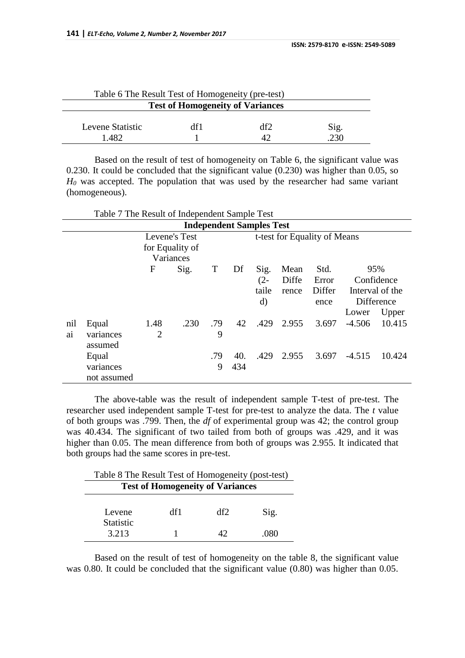| Table 6 The Result Test of Homogeneity (pre-test) |     |     |      |  |  |  |
|---------------------------------------------------|-----|-----|------|--|--|--|
| <b>Test of Homogeneity of Variances</b>           |     |     |      |  |  |  |
| Levene Statistic                                  | df1 | df2 | Sig. |  |  |  |
| 1 482                                             |     |     | 230  |  |  |  |

Based on the result of test of homogeneity on Table 6, the significant value was 0.230. It could be concluded that the significant value (0.230) was higher than 0.05, so *H<sup>0</sup>* was accepted. The population that was used by the researcher had same variant (homogeneous).

|           | <b>Independent Samples Test</b>   |                        |           |          |            |                                     |                        |                                 |          |                                                             |  |
|-----------|-----------------------------------|------------------------|-----------|----------|------------|-------------------------------------|------------------------|---------------------------------|----------|-------------------------------------------------------------|--|
|           | Levene's Test<br>for Equality of  |                        |           |          |            | t-test for Equality of Means        |                        |                                 |          |                                                             |  |
|           |                                   |                        | Variances |          |            |                                     |                        |                                 |          |                                                             |  |
|           |                                   | F                      | Sig.      | T        | Df         | Sig.<br>$(2 -$<br>taile<br>$\rm d)$ | Mean<br>Diffe<br>rence | Std.<br>Error<br>Differ<br>ence | Lower    | 95%<br>Confidence<br>Interval of the<br>Difference<br>Upper |  |
| nil<br>ai | Equal<br>variances<br>assumed     | 1.48<br>$\overline{2}$ | .230      | .79<br>9 | 42         | .429                                | 2.955                  | 3.697                           | $-4.506$ | 10.415                                                      |  |
|           | Equal<br>variances<br>not assumed |                        |           | .79<br>9 | 40.<br>434 | .429                                | 2.955                  | 3.697                           | $-4.515$ | 10.424                                                      |  |

The above-table was the result of independent sample T-test of pre-test. The researcher used independent sample T-test for pre-test to analyze the data. The *t* value of both groups was .799. Then, the *df* of experimental group was 42; the control group was 40.434. The significant of two tailed from both of groups was .429, and it was higher than 0.05. The mean difference from both of groups was 2.955. It indicated that both groups had the same scores in pre-test.

Table 8 The Result Test of Homogeneity (post-test) **Test of Homogeneity of Variances**

| Levene           | df1 | ብfን | Sig. |
|------------------|-----|-----|------|
| <b>Statistic</b> |     |     |      |
| 3.213            |     | ⊿າ  | 080  |

Based on the result of test of homogeneity on the table 8, the significant value was 0.80. It could be concluded that the significant value (0.80) was higher than 0.05.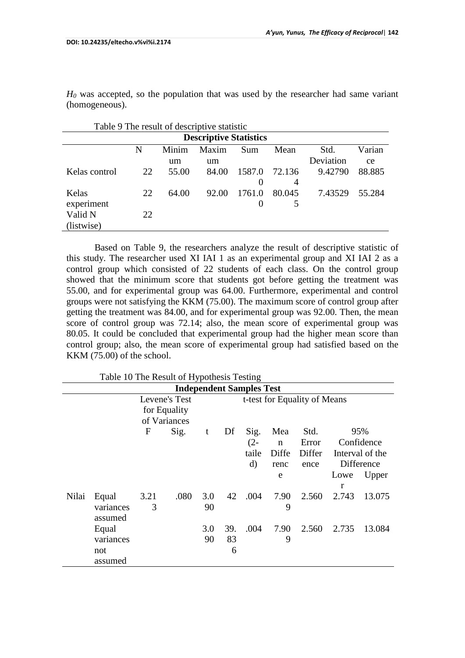*H<sup>0</sup>* was accepted, so the population that was used by the researcher had same variant (homogeneous).

| Table 9 The result of descriptive statistic |    |       |       |          |        |           |        |  |  |
|---------------------------------------------|----|-------|-------|----------|--------|-----------|--------|--|--|
| <b>Descriptive Statistics</b>               |    |       |       |          |        |           |        |  |  |
|                                             | N  | Minim | Maxim | Sum      | Mean   | Std.      | Varian |  |  |
|                                             |    | um    | um    |          |        | Deviation | ce     |  |  |
| Kelas control                               | 22 | 55.00 | 84.00 | 1587.0   | 72.136 | 9.42790   | 88.885 |  |  |
|                                             |    |       |       | $\Omega$ | 4      |           |        |  |  |
| Kelas                                       | 22 | 64.00 | 92.00 | 1761.0   | 80.045 | 7.43529   | 55.284 |  |  |
| experiment                                  |    |       |       | $\theta$ | 5      |           |        |  |  |
| Valid N                                     | 22 |       |       |          |        |           |        |  |  |
| (listwise)                                  |    |       |       |          |        |           |        |  |  |

Based on Table 9, the researchers analyze the result of descriptive statistic of this study. The researcher used XI IAI 1 as an experimental group and XI IAI 2 as a control group which consisted of 22 students of each class. On the control group showed that the minimum score that students got before getting the treatment was 55.00, and for experimental group was 64.00. Furthermore, experimental and control groups were not satisfying the KKM (75.00). The maximum score of control group after getting the treatment was 84.00, and for experimental group was 92.00. Then, the mean score of control group was 72.14; also, the mean score of experimental group was 80.05. It could be concluded that experimental group had the higher mean score than control group; also, the mean score of experimental group had satisfied based on the KKM (75.00) of the school.

| Table TO The Result of Hypothesis Testing |                                 |      |               |     |     |          |             |                              |       |                 |
|-------------------------------------------|---------------------------------|------|---------------|-----|-----|----------|-------------|------------------------------|-------|-----------------|
|                                           | <b>Independent Samples Test</b> |      |               |     |     |          |             |                              |       |                 |
|                                           |                                 |      | Levene's Test |     |     |          |             | t-test for Equality of Means |       |                 |
|                                           |                                 |      | for Equality  |     |     |          |             |                              |       |                 |
|                                           |                                 |      | of Variances  |     |     |          |             |                              |       |                 |
|                                           |                                 | F    | Sig.          | t   | Df  | Sig.     | Mea         | Std.                         |       | 95%             |
|                                           |                                 |      |               |     |     | $(2 -$   | $\mathbf n$ | Error                        |       | Confidence      |
|                                           |                                 |      |               |     |     | taile    | Diffe       | Differ                       |       | Interval of the |
|                                           |                                 |      |               |     |     | $\rm d)$ | renc        | ence                         |       | Difference      |
|                                           |                                 |      |               |     |     |          | e           |                              | Lowe  | Upper           |
|                                           |                                 |      |               |     |     |          |             |                              | r     |                 |
| Nilai                                     | Equal                           | 3.21 | .080          | 3.0 | 42  | .004     | 7.90        | 2.560                        | 2.743 | 13.075          |
|                                           | variances                       | 3    |               | 90  |     |          | 9           |                              |       |                 |
|                                           | assumed                         |      |               |     |     |          |             |                              |       |                 |
|                                           | Equal                           |      |               | 3.0 | 39. | .004     | 7.90        | 2.560                        | 2.735 | 13.084          |
|                                           | variances                       |      |               | 90  | 83  |          | 9           |                              |       |                 |
|                                           | not                             |      |               |     | 6   |          |             |                              |       |                 |
|                                           | assumed                         |      |               |     |     |          |             |                              |       |                 |

 $T$  able 10 The Result of Hypothesis  $T_{\text{c}}$  at  $\frac{1}{2}$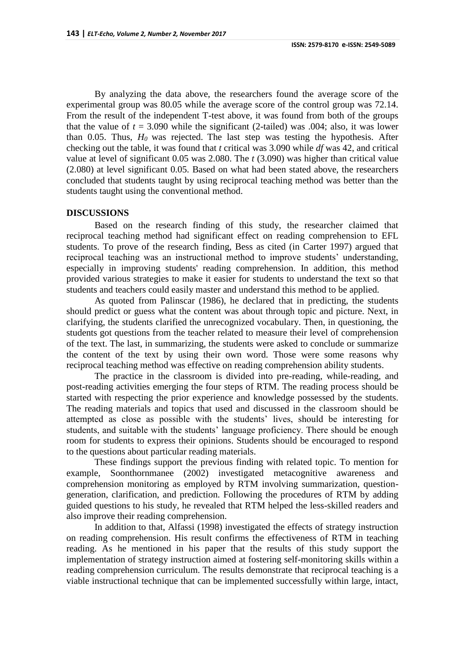By analyzing the data above, the researchers found the average score of the experimental group was 80.05 while the average score of the control group was 72.14. From the result of the independent T-test above, it was found from both of the groups that the value of  $t = 3.090$  while the significant (2-tailed) was .004; also, it was lower than 0.05. Thus,  $H_0$  was rejected. The last step was testing the hypothesis. After checking out the table, it was found that *t* critical was 3.090 while *df* was 42, and critical value at level of significant 0.05 was 2.080. The *t* (3.090) was higher than critical value (2.080) at level significant 0.05. Based on what had been stated above, the researchers concluded that students taught by using reciprocal teaching method was better than the students taught using the conventional method.

### **DISCUSSIONS**

Based on the research finding of this study, the researcher claimed that reciprocal teaching method had significant effect on reading comprehension to EFL students. To prove of the research finding, Bess as cited (in Carter 1997) argued that reciprocal teaching was an instructional method to improve students' understanding, especially in improving students' reading comprehension. In addition, this method provided various strategies to make it easier for students to understand the text so that students and teachers could easily master and understand this method to be applied.

As quoted from Palinscar (1986), he declared that in predicting, the students should predict or guess what the content was about through topic and picture. Next, in clarifying, the students clarified the unrecognized vocabulary. Then, in questioning, the students got questions from the teacher related to measure their level of comprehension of the text. The last, in summarizing, the students were asked to conclude or summarize the content of the text by using their own word. Those were some reasons why reciprocal teaching method was effective on reading comprehension ability students.

The practice in the classroom is divided into pre-reading, while-reading, and post-reading activities emerging the four steps of RTM. The reading process should be started with respecting the prior experience and knowledge possessed by the students. The reading materials and topics that used and discussed in the classroom should be attempted as close as possible with the students' lives, should be interesting for students, and suitable with the students' language proficiency. There should be enough room for students to express their opinions. Students should be encouraged to respond to the questions about particular reading materials.

These findings support the previous finding with related topic. To mention for example, Soonthornmanee (2002) investigated metacognitive awareness and comprehension monitoring as employed by RTM involving summarization, questiongeneration, clarification, and prediction. Following the procedures of RTM by adding guided questions to his study, he revealed that RTM helped the less-skilled readers and also improve their reading comprehension.

In addition to that, Alfassi (1998) investigated the effects of strategy instruction on reading comprehension. His result confirms the effectiveness of RTM in teaching reading. As he mentioned in his paper that the results of this study support the implementation of strategy instruction aimed at fostering self-monitoring skills within a reading comprehension curriculum. The results demonstrate that reciprocal teaching is a viable instructional technique that can be implemented successfully within large, intact,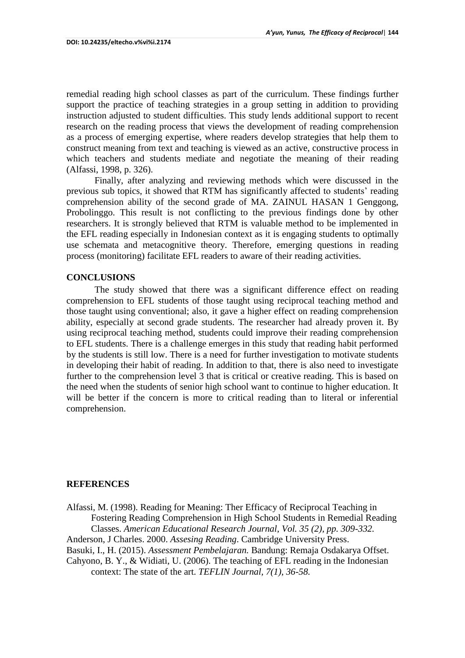remedial reading high school classes as part of the curriculum. These findings further support the practice of teaching strategies in a group setting in addition to providing instruction adjusted to student difficulties. This study lends additional support to recent research on the reading process that views the development of reading comprehension as a process of emerging expertise, where readers develop strategies that help them to construct meaning from text and teaching is viewed as an active, constructive process in which teachers and students mediate and negotiate the meaning of their reading (Alfassi, 1998, p. 326).

Finally, after analyzing and reviewing methods which were discussed in the previous sub topics, it showed that RTM has significantly affected to students' reading comprehension ability of the second grade of MA. ZAINUL HASAN 1 Genggong, Probolinggo. This result is not conflicting to the previous findings done by other researchers. It is strongly believed that RTM is valuable method to be implemented in the EFL reading especially in Indonesian context as it is engaging students to optimally use schemata and metacognitive theory. Therefore, emerging questions in reading process (monitoring) facilitate EFL readers to aware of their reading activities.

## **CONCLUSIONS**

The study showed that there was a significant difference effect on reading comprehension to EFL students of those taught using reciprocal teaching method and those taught using conventional; also, it gave a higher effect on reading comprehension ability, especially at second grade students. The researcher had already proven it. By using reciprocal teaching method, students could improve their reading comprehension to EFL students. There is a challenge emerges in this study that reading habit performed by the students is still low. There is a need for further investigation to motivate students in developing their habit of reading. In addition to that, there is also need to investigate further to the comprehension level 3 that is critical or creative reading. This is based on the need when the students of senior high school want to continue to higher education. It will be better if the concern is more to critical reading than to literal or inferential comprehension.

### **REFERENCES**

Alfassi, M. (1998). Reading for Meaning: Ther Efficacy of Reciprocal Teaching in Fostering Reading Comprehension in High School Students in Remedial Reading Classes. *American Educational Research Journal, Vol. 35 (2), pp. 309-332.*

Anderson, J Charles. 2000. *Assesing Reading*. Cambridge University Press.

Basuki, I., H. (2015). *Assessment Pembelajaran.* Bandung: Remaja Osdakarya Offset.

Cahyono, B. Y., & Widiati, U. (2006). The teaching of EFL reading in the Indonesian context: The state of the art. *TEFLIN Journal, 7(1), 36-58.*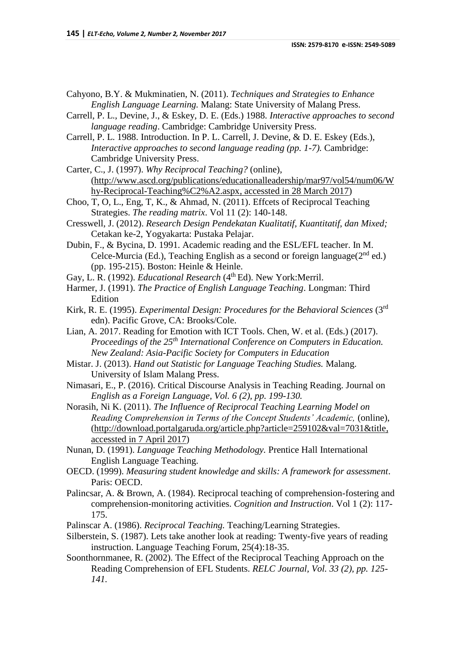Cahyono, B.Y. & Mukminatien, N. (2011). *Techniques and Strategies to Enhance English Language Learning.* Malang: State University of Malang Press.

Carrell, P. L., Devine, J., & Eskey, D. E. (Eds.) 1988. *Interactive approaches to second language reading*. Cambridge: Cambridge University Press.

Carrell, P. L. 1988. Introduction. In P. L. Carrell, J. Devine, & D. E. Eskey (Eds.), *Interactive approaches to second language reading (pp. 1-7).* Cambridge: Cambridge University Press.

Carter, C., J. (1997). *Why Reciprocal Teaching?* (online), [\(http://www.ascd.org/publications/educationalleadership/mar97/vol54/num06/W](http://www.ascd.org/publications/educationalleadership/mar97/vol54/num06/Why-Reciprocal-Teaching%C2%A2.aspx) [hy-Reciprocal-Teaching%C2%A2.aspx,](http://www.ascd.org/publications/educationalleadership/mar97/vol54/num06/Why-Reciprocal-Teaching%C2%A2.aspx) accessted in 28 March 2017)

Choo, T, O, L., Eng, T, K., & Ahmad, N. (2011). Effcets of Reciprocal Teaching Strategies. *The reading matrix*. Vol 11 (2): 140-148.

Cresswell, J. (2012). *Research Design Pendekatan Kualitatif, Kuantitatif, dan Mixed;*  Cetakan ke-2, Yogyakarta: Pustaka Pelajar.

Dubin, F., & Bycina, D. 1991. Academic reading and the ESL/EFL teacher. In M. Celce-Murcia (Ed.), Teaching English as a second or foreign language $(2<sup>nd</sup>$  ed.) (pp. 195-215). Boston: Heinle & Heinle.

Gay, L. R. (1992). *Educational Research* (4<sup>th</sup> Ed). New York:Merril.

- Harmer, J. (1991). *The Practice of English Language Teaching*. Longman: Third Edition
- Kirk, R. E. (1995). *Experimental Design: Procedures for the Behavioral Sciences* (3rd edn). Pacific Grove, CA: Brooks/Cole.

Lian, A. 2017. Reading for Emotion with ICT Tools. Chen, W. et al. (Eds.) (2017). *Proceedings of the 25th International Conference on Computers in Education. New Zealand: Asia-Pacific Society for Computers in Education*

Mistar. J. (2013). *Hand out Statistic for Language Teaching Studies.* Malang. University of Islam Malang Press.

Nimasari, E., P. (2016). Critical Discourse Analysis in Teaching Reading. Journal on *English as a Foreign Language, Vol. 6 (2), pp. 199-130.*

Norasih, Ni K. (2011). *The Influence of Reciprocal Teaching Learning Model on Reading Comprehension in Terms of the Concept Students' Academic,* (online), [\(http://download.portalgaruda.org/article.php?article=259102&val=7031&title,](http://download.portalgaruda.org/article.php?article=259102&val=7031&title) accessted in 7 April 2017)

Nunan, D. (1991). *Language Teaching Methodology.* Prentice Hall International English Language Teaching.

OECD. (1999). *Measuring student knowledge and skills: A framework for assessment*. Paris: OECD.

Palincsar, A. & Brown, A. (1984). Reciprocal teaching of comprehension-fostering and comprehension-monitoring activities. *Cognition and Instruction*. Vol 1 (2): 117- 175.

Palinscar A. (1986). *Reciprocal Teaching.* Teaching/Learning Strategies.

Silberstein, S. (1987). Lets take another look at reading: Twenty-five years of reading instruction. Language Teaching Forum, 25(4):18-35.

Soonthornmanee, R. (2002). The Effect of the Reciprocal Teaching Approach on the Reading Comprehension of EFL Students. *RELC Journal, Vol. 33 (2), pp. 125- 141.*